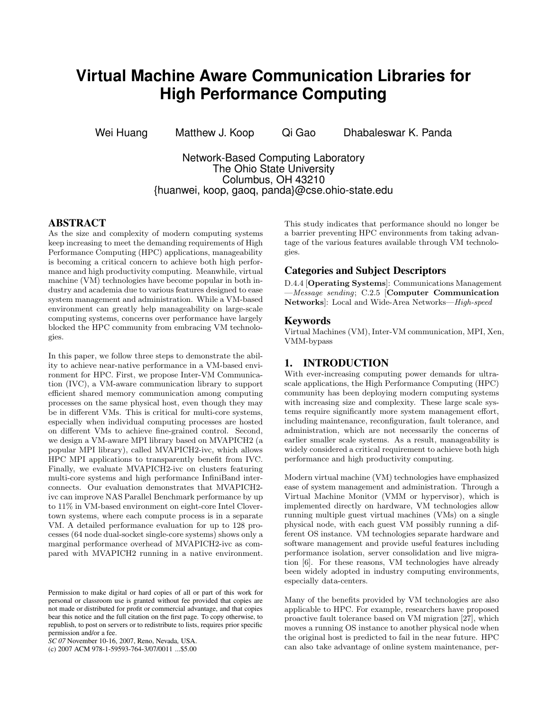# **Virtual Machine Aware Communication Libraries for High Performance Computing**

Wei Huang Matthew J. Koop Qi Gao Dhabaleswar K. Panda

Network-Based Computing Laboratory The Ohio State University Columbus, OH 43210 {huanwei, koop, gaoq, panda}@cse.ohio-state.edu

# **ABSTRACT**

As the size and complexity of modern computing systems keep increasing to meet the demanding requirements of High Performance Computing (HPC) applications, manageability is becoming a critical concern to achieve both high performance and high productivity computing. Meanwhile, virtual machine (VM) technologies have become popular in both industry and academia due to various features designed to ease system management and administration. While a VM-based environment can greatly help manageability on large-scale computing systems, concerns over performance have largely blocked the HPC community from embracing VM technologies.

In this paper, we follow three steps to demonstrate the ability to achieve near-native performance in a VM-based environment for HPC. First, we propose Inter-VM Communication (IVC), a VM-aware communication library to support efficient shared memory communication among computing processes on the same physical host, even though they may be in different VMs. This is critical for multi-core systems, especially when individual computing processes are hosted on different VMs to achieve fine-grained control. Second, we design a VM-aware MPI library based on MVAPICH2 (a popular MPI library), called MVAPICH2-ivc, which allows HPC MPI applications to transparently benefit from IVC. Finally, we evaluate MVAPICH2-ivc on clusters featuring multi-core systems and high performance InfiniBand interconnects. Our evaluation demonstrates that MVAPICH2 ivc can improve NAS Parallel Benchmark performance by up to 11% in VM-based environment on eight-core Intel Clovertown systems, where each compute process is in a separate VM. A detailed performance evaluation for up to 128 processes (64 node dual-socket single-core systems) shows only a marginal performance overhead of MVAPICH2-ivc as compared with MVAPICH2 running in a native environment.

Permission to make digital or hard copies of all or part of this work for personal or classroom use is granted without fee provided that copies are not made or distributed for profit or commercial advantage, and that copies bear this notice and the full citation on the first page. To copy otherwise, to republish, to post on servers or to redistribute to lists, requires prior specific permission and/or a fee.

*SC 07* November 10-16, 2007, Reno, Nevada, USA.

(c) 2007 ACM 978-1-59593-764-3/07/0011 ...\$5.00

This study indicates that performance should no longer be a barrier preventing HPC environments from taking advantage of the various features available through VM technologies.

### **Categories and Subject Descriptors**

D.4.4 [Operating Systems]: Communications Management  $-Message\ sending; C.2.5$  [Computer Communication Networks]: Local and Wide-Area Networks—High-speed

#### **Keywords**

Virtual Machines (VM), Inter-VM communication, MPI, Xen, VMM-bypass

# **1. INTRODUCTION**

With ever-increasing computing power demands for ultrascale applications, the High Performance Computing (HPC) community has been deploying modern computing systems with increasing size and complexity. These large scale systems require significantly more system management effort, including maintenance, reconfiguration, fault tolerance, and administration, which are not necessarily the concerns of earlier smaller scale systems. As a result, manageability is widely considered a critical requirement to achieve both high performance and high productivity computing.

Modern virtual machine (VM) technologies have emphasized ease of system management and administration. Through a Virtual Machine Monitor (VMM or hypervisor), which is implemented directly on hardware, VM technologies allow running multiple guest virtual machines (VMs) on a single physical node, with each guest VM possibly running a different OS instance. VM technologies separate hardware and software management and provide useful features including performance isolation, server consolidation and live migration [6]. For these reasons, VM technologies have already been widely adopted in industry computing environments, especially data-centers.

Many of the benefits provided by VM technologies are also applicable to HPC. For example, researchers have proposed proactive fault tolerance based on VM migration [27], which moves a running OS instance to another physical node when the original host is predicted to fail in the near future. HPC can also take advantage of online system maintenance, per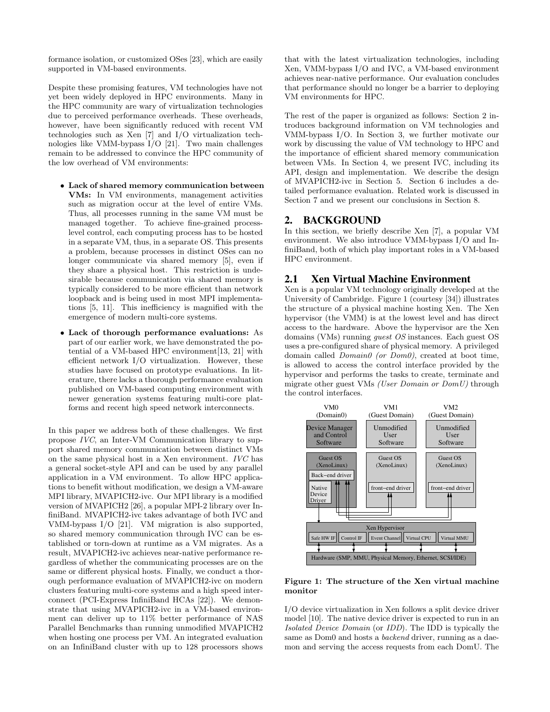formance isolation, or customized OSes [23], which are easily supported in VM-based environments.

Despite these promising features, VM technologies have not yet been widely deployed in HPC environments. Many in the HPC community are wary of virtualization technologies due to perceived performance overheads. These overheads, however, have been significantly reduced with recent VM technologies such as Xen [7] and I/O virtualization technologies like VMM-bypass I/O [21]. Two main challenges remain to be addressed to convince the HPC community of the low overhead of VM environments:

- Lack of shared memory communication between VMs: In VM environments, management activities such as migration occur at the level of entire VMs. Thus, all processes running in the same VM must be managed together. To achieve fine-grained processlevel control, each computing process has to be hosted in a separate VM, thus, in a separate OS. This presents a problem, because processes in distinct OSes can no longer communicate via shared memory [5], even if they share a physical host. This restriction is undesirable because communication via shared memory is typically considered to be more efficient than network loopback and is being used in most MPI implementations [5, 11]. This inefficiency is magnified with the emergence of modern multi-core systems.
- Lack of thorough performance evaluations: As part of our earlier work, we have demonstrated the potential of a VM-based HPC environment[13, 21] with efficient network I/O virtualization. However, these studies have focused on prototype evaluations. In literature, there lacks a thorough performance evaluation published on VM-based computing environment with newer generation systems featuring multi-core platforms and recent high speed network interconnects.

In this paper we address both of these challenges. We first propose IVC, an Inter-VM Communication library to support shared memory communication between distinct VMs on the same physical host in a Xen environment. IVC has a general socket-style API and can be used by any parallel application in a VM environment. To allow HPC applications to benefit without modification, we design a VM-aware MPI library, MVAPICH2-ivc. Our MPI library is a modified version of MVAPICH2 [26], a popular MPI-2 library over InfiniBand. MVAPICH2-ivc takes advantage of both IVC and VMM-bypass I/O [21]. VM migration is also supported, so shared memory communication through IVC can be established or torn-down at runtime as a VM migrates. As a result, MVAPICH2-ivc achieves near-native performance regardless of whether the communicating processes are on the same or different physical hosts. Finally, we conduct a thorough performance evaluation of MVAPICH2-ivc on modern clusters featuring multi-core systems and a high speed interconnect (PCI-Express InfiniBand HCAs [22]). We demonstrate that using MVAPICH2-ivc in a VM-based environment can deliver up to 11% better performance of NAS Parallel Benchmarks than running unmodified MVAPICH2 when hosting one process per VM. An integrated evaluation on an InfiniBand cluster with up to 128 processors shows

that with the latest virtualization technologies, including Xen, VMM-bypass I/O and IVC, a VM-based environment achieves near-native performance. Our evaluation concludes that performance should no longer be a barrier to deploying VM environments for HPC.

The rest of the paper is organized as follows: Section 2 introduces background information on VM technologies and VMM-bypass I/O. In Section 3, we further motivate our work by discussing the value of VM technology to HPC and the importance of efficient shared memory communication between VMs. In Section 4, we present IVC, including its API, design and implementation. We describe the design of MVAPICH2-ivc in Section 5. Section 6 includes a detailed performance evaluation. Related work is discussed in Section 7 and we present our conclusions in Section 8.

### **2. BACKGROUND**

In this section, we briefly describe Xen [7], a popular VM environment. We also introduce VMM-bypass I/O and InfiniBand, both of which play important roles in a VM-based HPC environment.

### **2.1 Xen Virtual Machine Environment**

Xen is a popular VM technology originally developed at the University of Cambridge. Figure 1 (courtesy [34]) illustrates the structure of a physical machine hosting Xen. The Xen hypervisor (the VMM) is at the lowest level and has direct access to the hardware. Above the hypervisor are the Xen domains (VMs) running guest OS instances. Each guest OS uses a pre-configured share of physical memory. A privileged domain called Domain0 (or Dom0), created at boot time, is allowed to access the control interface provided by the hypervisor and performs the tasks to create, terminate and migrate other guest VMs (User Domain or DomU) through the control interfaces.



Figure 1: The structure of the Xen virtual machine monitor

I/O device virtualization in Xen follows a split device driver model [10]. The native device driver is expected to run in an Isolated Device Domain (or IDD). The IDD is typically the same as Dom0 and hosts a backend driver, running as a daemon and serving the access requests from each DomU. The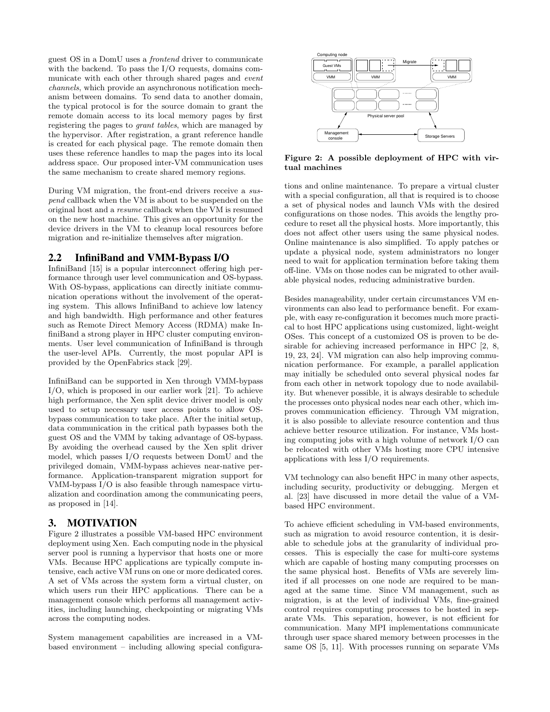guest OS in a DomU uses a frontend driver to communicate with the backend. To pass the I/O requests, domains communicate with each other through shared pages and event channels, which provide an asynchronous notification mechanism between domains. To send data to another domain, the typical protocol is for the source domain to grant the remote domain access to its local memory pages by first registering the pages to grant tables, which are managed by the hypervisor. After registration, a grant reference handle is created for each physical page. The remote domain then uses these reference handles to map the pages into its local address space. Our proposed inter-VM communication uses the same mechanism to create shared memory regions.

During VM migration, the front-end drivers receive a suspend callback when the VM is about to be suspended on the original host and a resume callback when the VM is resumed on the new host machine. This gives an opportunity for the device drivers in the VM to cleanup local resources before migration and re-initialize themselves after migration.

### **2.2 InfiniBand and VMM-Bypass I/O**

InfiniBand [15] is a popular interconnect offering high performance through user level communication and OS-bypass. With OS-bypass, applications can directly initiate communication operations without the involvement of the operating system. This allows InfiniBand to achieve low latency and high bandwidth. High performance and other features such as Remote Direct Memory Access (RDMA) make InfiniBand a strong player in HPC cluster computing environments. User level communication of InfiniBand is through the user-level APIs. Currently, the most popular API is provided by the OpenFabrics stack [29].

InfiniBand can be supported in Xen through VMM-bypass I/O, which is proposed in our earlier work [21]. To achieve high performance, the Xen split device driver model is only used to setup necessary user access points to allow OSbypass communication to take place. After the initial setup, data communication in the critical path bypasses both the guest OS and the VMM by taking advantage of OS-bypass. By avoiding the overhead caused by the Xen split driver model, which passes I/O requests between DomU and the privileged domain, VMM-bypass achieves near-native performance. Application-transparent migration support for VMM-bypass I/O is also feasible through namespace virtualization and coordination among the communicating peers, as proposed in [14].

### **3. MOTIVATION**

Figure 2 illustrates a possible VM-based HPC environment deployment using Xen. Each computing node in the physical server pool is running a hypervisor that hosts one or more VMs. Because HPC applications are typically compute intensive, each active VM runs on one or more dedicated cores. A set of VMs across the system form a virtual cluster, on which users run their HPC applications. There can be a management console which performs all management activities, including launching, checkpointing or migrating VMs across the computing nodes.

System management capabilities are increased in a VMbased environment – including allowing special configura-



Figure 2: A possible deployment of HPC with virtual machines

tions and online maintenance. To prepare a virtual cluster with a special configuration, all that is required is to choose a set of physical nodes and launch VMs with the desired configurations on those nodes. This avoids the lengthy procedure to reset all the physical hosts. More importantly, this does not affect other users using the same physical nodes. Online maintenance is also simplified. To apply patches or update a physical node, system administrators no longer need to wait for application termination before taking them off-line. VMs on those nodes can be migrated to other available physical nodes, reducing administrative burden.

Besides manageability, under certain circumstances VM environments can also lead to performance benefit. For example, with easy re-configuration it becomes much more practical to host HPC applications using customized, light-weight OSes. This concept of a customized OS is proven to be desirable for achieving increased performance in HPC [2, 8, 19, 23, 24]. VM migration can also help improving communication performance. For example, a parallel application may initially be scheduled onto several physical nodes far from each other in network topology due to node availability. But whenever possible, it is always desirable to schedule the processes onto physical nodes near each other, which improves communication efficiency. Through VM migration, it is also possible to alleviate resource contention and thus achieve better resource utilization. For instance, VMs hosting computing jobs with a high volume of network I/O can be relocated with other VMs hosting more CPU intensive applications with less I/O requirements.

VM technology can also benefit HPC in many other aspects, including security, productivity or debugging. Mergen et al. [23] have discussed in more detail the value of a VMbased HPC environment.

To achieve efficient scheduling in VM-based environments, such as migration to avoid resource contention, it is desirable to schedule jobs at the granularity of individual processes. This is especially the case for multi-core systems which are capable of hosting many computing processes on the same physical host. Benefits of VMs are severely limited if all processes on one node are required to be managed at the same time. Since VM management, such as migration, is at the level of individual VMs, fine-grained control requires computing processes to be hosted in separate VMs. This separation, however, is not efficient for communication. Many MPI implementations communicate through user space shared memory between processes in the same OS [5, 11]. With processes running on separate VMs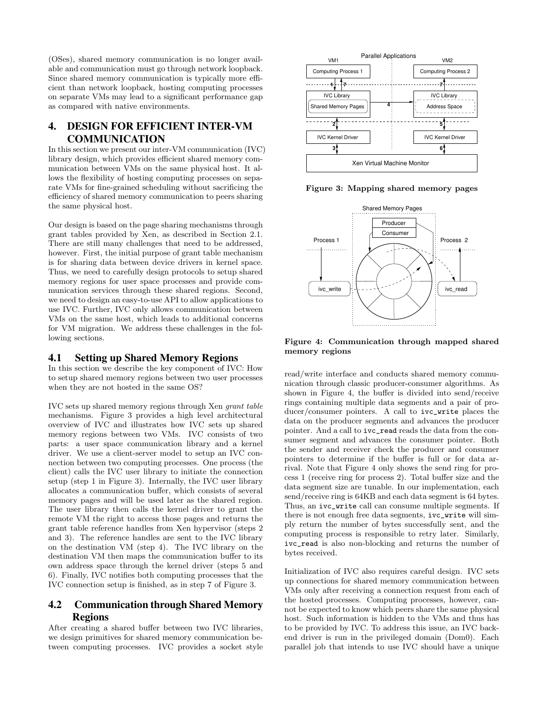(OSes), shared memory communication is no longer available and communication must go through network loopback. Since shared memory communication is typically more efficient than network loopback, hosting computing processes on separate VMs may lead to a significant performance gap as compared with native environments.

# **4. DESIGN FOR EFFICIENT INTER-VM COMMUNICATION**

In this section we present our inter-VM communication (IVC) library design, which provides efficient shared memory communication between VMs on the same physical host. It allows the flexibility of hosting computing processes on separate VMs for fine-grained scheduling without sacrificing the efficiency of shared memory communication to peers sharing the same physical host.

Our design is based on the page sharing mechanisms through grant tables provided by Xen, as described in Section 2.1. There are still many challenges that need to be addressed, however. First, the initial purpose of grant table mechanism is for sharing data between device drivers in kernel space. Thus, we need to carefully design protocols to setup shared memory regions for user space processes and provide communication services through these shared regions. Second, we need to design an easy-to-use API to allow applications to use IVC. Further, IVC only allows communication between VMs on the same host, which leads to additional concerns for VM migration. We address these challenges in the following sections.

### **4.1 Setting up Shared Memory Regions**

In this section we describe the key component of IVC: How to setup shared memory regions between two user processes when they are not hosted in the same OS?

IVC sets up shared memory regions through Xen grant table mechanisms. Figure 3 provides a high level architectural overview of IVC and illustrates how IVC sets up shared memory regions between two VMs. IVC consists of two parts: a user space communication library and a kernel driver. We use a client-server model to setup an IVC connection between two computing processes. One process (the client) calls the IVC user library to initiate the connection setup (step 1 in Figure 3). Internally, the IVC user library allocates a communication buffer, which consists of several memory pages and will be used later as the shared region. The user library then calls the kernel driver to grant the remote VM the right to access those pages and returns the grant table reference handles from Xen hypervisor (steps 2 and 3). The reference handles are sent to the IVC library on the destination VM (step 4). The IVC library on the destination VM then maps the communication buffer to its own address space through the kernel driver (steps 5 and 6). Finally, IVC notifies both computing processes that the IVC connection setup is finished, as in step 7 of Figure 3.

# **4.2 Communication through Shared Memory Regions**

After creating a shared buffer between two IVC libraries, we design primitives for shared memory communication between computing processes. IVC provides a socket style



Figure 3: Mapping shared memory pages



Figure 4: Communication through mapped shared memory regions

read/write interface and conducts shared memory communication through classic producer-consumer algorithms. As shown in Figure 4, the buffer is divided into send/receive rings containing multiple data segments and a pair of producer/consumer pointers. A call to ivc\_write places the data on the producer segments and advances the producer pointer. And a call to ivc\_read reads the data from the consumer segment and advances the consumer pointer. Both the sender and receiver check the producer and consumer pointers to determine if the buffer is full or for data arrival. Note that Figure 4 only shows the send ring for process 1 (receive ring for process 2). Total buffer size and the data segment size are tunable. In our implementation, each send/receive ring is 64KB and each data segment is 64 bytes. Thus, an ivc\_write call can consume multiple segments. If there is not enough free data segments, ivc\_write will simply return the number of bytes successfully sent, and the computing process is responsible to retry later. Similarly, ivc\_read is also non-blocking and returns the number of bytes received.

Initialization of IVC also requires careful design. IVC sets up connections for shared memory communication between VMs only after receiving a connection request from each of the hosted processes. Computing processes, however, cannot be expected to know which peers share the same physical host. Such information is hidden to the VMs and thus has to be provided by IVC. To address this issue, an IVC backend driver is run in the privileged domain (Dom0). Each parallel job that intends to use IVC should have a unique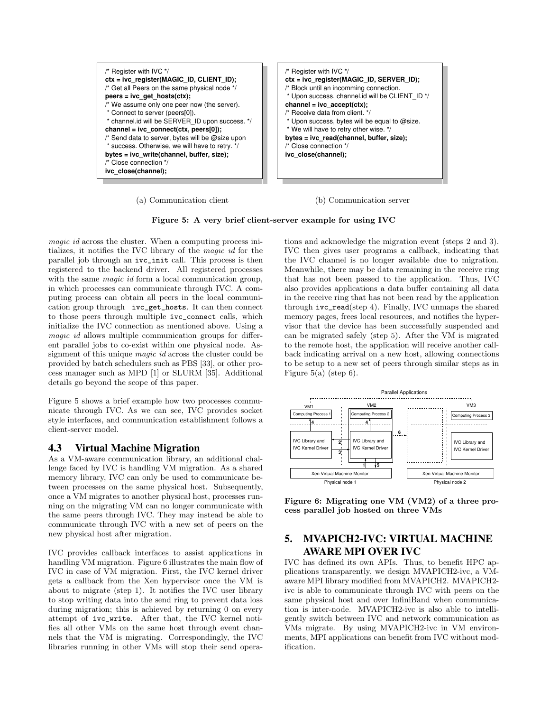

(a) Communication client

(b) Communication server



magic id across the cluster. When a computing process initializes, it notifies the IVC library of the magic id for the parallel job through an ivc\_init call. This process is then registered to the backend driver. All registered processes with the same *magic id* form a local communication group, in which processes can communicate through IVC. A computing process can obtain all peers in the local communication group through ivc\_get\_hosts. It can then connect to those peers through multiple ivc\_connect calls, which initialize the IVC connection as mentioned above. Using a magic id allows multiple communication groups for different parallel jobs to co-exist within one physical node. Assignment of this unique magic id across the cluster could be provided by batch schedulers such as PBS [33], or other process manager such as MPD [1] or SLURM [35]. Additional details go beyond the scope of this paper.

Figure 5 shows a brief example how two processes communicate through IVC. As we can see, IVC provides socket style interfaces, and communication establishment follows a client-server model.

### **4.3 Virtual Machine Migration**

As a VM-aware communication library, an additional challenge faced by IVC is handling VM migration. As a shared memory library, IVC can only be used to communicate between processes on the same physical host. Subsequently, once a VM migrates to another physical host, processes running on the migrating VM can no longer communicate with the same peers through IVC. They may instead be able to communicate through IVC with a new set of peers on the new physical host after migration.

IVC provides callback interfaces to assist applications in handling VM migration. Figure 6 illustrates the main flow of IVC in case of VM migration. First, the IVC kernel driver gets a callback from the Xen hypervisor once the VM is about to migrate (step 1). It notifies the IVC user library to stop writing data into the send ring to prevent data loss during migration; this is achieved by returning 0 on every attempt of ivc\_write. After that, the IVC kernel notifies all other VMs on the same host through event channels that the VM is migrating. Correspondingly, the IVC libraries running in other VMs will stop their send opera-

tions and acknowledge the migration event (steps 2 and 3). IVC then gives user programs a callback, indicating that the IVC channel is no longer available due to migration. Meanwhile, there may be data remaining in the receive ring that has not been passed to the application. Thus, IVC also provides applications a data buffer containing all data in the receive ring that has not been read by the application through ivc\_read(step 4). Finally, IVC unmaps the shared memory pages, frees local resources, and notifies the hypervisor that the device has been successfully suspended and can be migrated safely (step 5). After the VM is migrated to the remote host, the application will receive another callback indicating arrival on a new host, allowing connections to be setup to a new set of peers through similar steps as in Figure  $5(a)$  (step 6).



Figure 6: Migrating one VM (VM2) of a three process parallel job hosted on three VMs

# **5. MVAPICH2-IVC: VIRTUAL MACHINE AWARE MPI OVER IVC**

IVC has defined its own APIs. Thus, to benefit HPC applications transparently, we design MVAPICH2-ivc, a VMaware MPI library modified from MVAPICH2. MVAPICH2 ivc is able to communicate through IVC with peers on the same physical host and over InfiniBand when communication is inter-node. MVAPICH2-ivc is also able to intelligently switch between IVC and network communication as VMs migrate. By using MVAPICH2-ivc in VM environments, MPI applications can benefit from IVC without modification.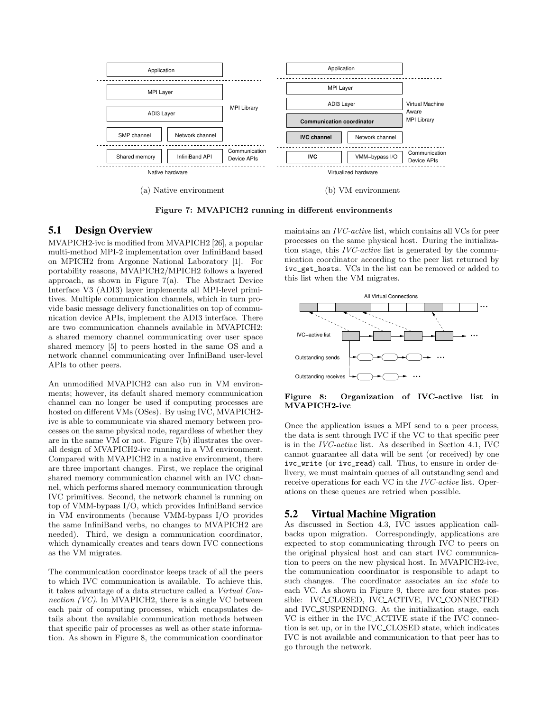

Figure 7: MVAPICH2 running in different environments

### **5.1 Design Overview**

MVAPICH2-ivc is modified from MVAPICH2 [26], a popular multi-method MPI-2 implementation over InfiniBand based on MPICH2 from Argonne National Laboratory [1]. For portability reasons, MVAPICH2/MPICH2 follows a layered approach, as shown in Figure 7(a). The Abstract Device Interface V3 (ADI3) layer implements all MPI-level primitives. Multiple communication channels, which in turn provide basic message delivery functionalities on top of communication device APIs, implement the ADI3 interface. There are two communication channels available in MVAPICH2: a shared memory channel communicating over user space shared memory [5] to peers hosted in the same OS and a network channel communicating over InfiniBand user-level APIs to other peers.

An unmodified MVAPICH2 can also run in VM environments; however, its default shared memory communication channel can no longer be used if computing processes are hosted on different VMs (OSes). By using IVC, MVAPICH2ivc is able to communicate via shared memory between processes on the same physical node, regardless of whether they are in the same VM or not. Figure 7(b) illustrates the overall design of MVAPICH2-ivc running in a VM environment. Compared with MVAPICH2 in a native environment, there are three important changes. First, we replace the original shared memory communication channel with an IVC channel, which performs shared memory communication through IVC primitives. Second, the network channel is running on top of VMM-bypass I/O, which provides InfiniBand service in VM environments (because VMM-bypass I/O provides the same InfiniBand verbs, no changes to MVAPICH2 are needed). Third, we design a communication coordinator, which dynamically creates and tears down IVC connections as the VM migrates.

The communication coordinator keeps track of all the peers to which IVC communication is available. To achieve this, it takes advantage of a data structure called a Virtual Connection (VC). In MVAPICH2, there is a single VC between each pair of computing processes, which encapsulates details about the available communication methods between that specific pair of processes as well as other state information. As shown in Figure 8, the communication coordinator maintains an IVC-active list, which contains all VCs for peer processes on the same physical host. During the initialization stage, this IVC-active list is generated by the communication coordinator according to the peer list returned by ivc\_get\_hosts. VCs in the list can be removed or added to this list when the VM migrates.



### Figure 8: Organization of IVC-active list in MVAPICH2-ivc

Once the application issues a MPI send to a peer process, the data is sent through IVC if the VC to that specific peer is in the IVC-active list. As described in Section 4.1, IVC cannot guarantee all data will be sent (or received) by one ivc\_write (or ivc\_read) call. Thus, to ensure in order delivery, we must maintain queues of all outstanding send and receive operations for each VC in the IVC-active list. Operations on these queues are retried when possible.

### **5.2 Virtual Machine Migration**

As discussed in Section 4.3, IVC issues application callbacks upon migration. Correspondingly, applications are expected to stop communicating through IVC to peers on the original physical host and can start IVC communication to peers on the new physical host. In MVAPICH2-ivc, the communication coordinator is responsible to adapt to such changes. The coordinator associates an *ivc* state to each VC. As shown in Figure 9, there are four states possible: IVC CLOSED, IVC ACTIVE, IVC CONNECTED and IVC SUSPENDING. At the initialization stage, each VC is either in the IVC ACTIVE state if the IVC connection is set up, or in the IVC CLOSED state, which indicates IVC is not available and communication to that peer has to go through the network.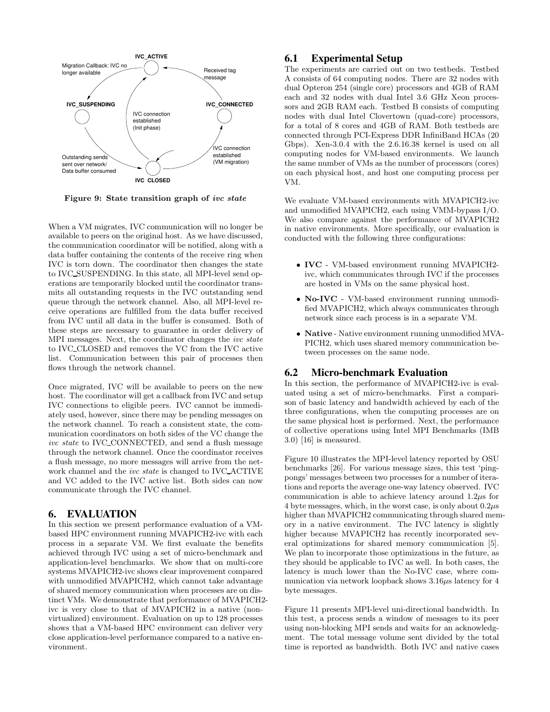

Figure 9: State transition graph of ivc state

When a VM migrates, IVC communication will no longer be available to peers on the original host. As we have discussed, the communication coordinator will be notified, along with a data buffer containing the contents of the receive ring when IVC is torn down. The coordinator then changes the state to IVC SUSPENDING. In this state, all MPI-level send operations are temporarily blocked until the coordinator transmits all outstanding requests in the IVC outstanding send queue through the network channel. Also, all MPI-level receive operations are fulfilled from the data buffer received from IVC until all data in the buffer is consumed. Both of these steps are necessary to guarantee in order delivery of MPI messages. Next, the coordinator changes the ivc state to IVC CLOSED and removes the VC from the IVC active list. Communication between this pair of processes then flows through the network channel.

Once migrated, IVC will be available to peers on the new host. The coordinator will get a callback from IVC and setup IVC connections to eligible peers. IVC cannot be immediately used, however, since there may be pending messages on the network channel. To reach a consistent state, the communication coordinators on both sides of the VC change the ivc state to IVC CONNECTED, and send a flush message through the network channel. Once the coordinator receives a flush message, no more messages will arrive from the network channel and the *ivc state* is changed to IVC\_ACTIVE and VC added to the IVC active list. Both sides can now communicate through the IVC channel.

### **6. EVALUATION**

In this section we present performance evaluation of a VMbased HPC environment running MVAPICH2-ivc with each process in a separate VM. We first evaluate the benefits achieved through IVC using a set of micro-benchmark and application-level benchmarks. We show that on multi-core systems MVAPICH2-ivc shows clear improvement compared with unmodified MVAPICH2, which cannot take advantage of shared memory communication when processes are on distinct VMs. We demonstrate that performance of MVAPICH2 ivc is very close to that of MVAPICH2 in a native (nonvirtualized) environment. Evaluation on up to 128 processes shows that a VM-based HPC environment can deliver very close application-level performance compared to a native environment.

## **6.1 Experimental Setup**

The experiments are carried out on two testbeds. Testbed A consists of 64 computing nodes. There are 32 nodes with dual Opteron 254 (single core) processors and 4GB of RAM each and 32 nodes with dual Intel 3.6 GHz Xeon processors and 2GB RAM each. Testbed B consists of computing nodes with dual Intel Clovertown (quad-core) processors, for a total of 8 cores and 4GB of RAM. Both testbeds are connected through PCI-Express DDR InfiniBand HCAs (20 Gbps). Xen-3.0.4 with the 2.6.16.38 kernel is used on all computing nodes for VM-based environments. We launch the same number of VMs as the number of processors (cores) on each physical host, and host one computing process per VM.

We evaluate VM-based environments with MVAPICH2-ivc and unmodified MVAPICH2, each using VMM-bypass I/O. We also compare against the performance of MVAPICH2 in native environments. More specifically, our evaluation is conducted with the following three configurations:

- IVC VM-based environment running MVAPICH2 ivc, which communicates through IVC if the processes are hosted in VMs on the same physical host.
- No-IVC VM-based environment running unmodified MVAPICH2, which always communicates through network since each process is in a separate VM.
- **Native** Native environment running unmodified MVA-PICH2, which uses shared memory communication between processes on the same node.

### **6.2 Micro-benchmark Evaluation**

In this section, the performance of MVAPICH2-ivc is evaluated using a set of micro-benchmarks. First a comparison of basic latency and bandwidth achieved by each of the three configurations, when the computing processes are on the same physical host is performed. Next, the performance of collective operations using Intel MPI Benchmarks (IMB 3.0) [16] is measured.

Figure 10 illustrates the MPI-level latency reported by OSU benchmarks [26]. For various message sizes, this test 'pingpongs' messages between two processes for a number of iterations and reports the average one-way latency observed. IVC communication is able to achieve latency around 1.2µs for 4 byte messages, which, in the worst case, is only about  $0.2\mu s$ higher than MVAPICH2 communicating through shared memory in a native environment. The IVC latency is slightly higher because MVAPICH2 has recently incorporated several optimizations for shared memory communication [5]. We plan to incorporate those optimizations in the future, as they should be applicable to IVC as well. In both cases, the latency is much lower than the No-IVC case, where communication via network loopback shows  $3.16\mu s$  latency for 4 byte messages.

Figure 11 presents MPI-level uni-directional bandwidth. In this test, a process sends a window of messages to its peer using non-blocking MPI sends and waits for an acknowledgment. The total message volume sent divided by the total time is reported as bandwidth. Both IVC and native cases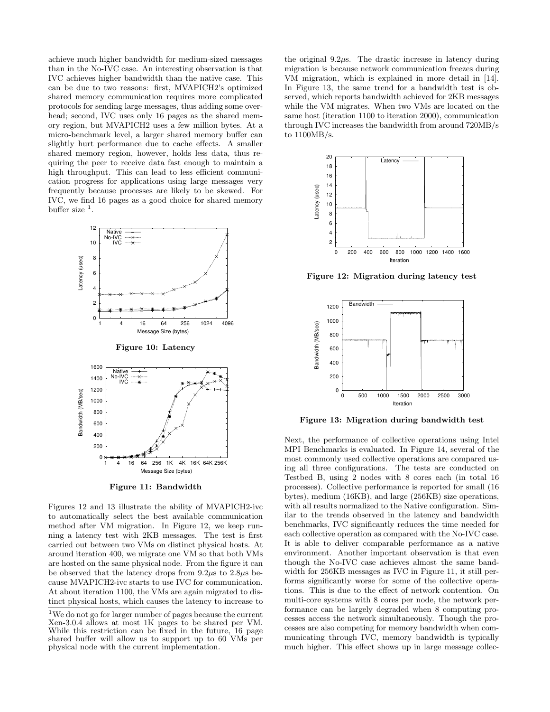achieve much higher bandwidth for medium-sized messages than in the No-IVC case. An interesting observation is that IVC achieves higher bandwidth than the native case. This can be due to two reasons: first, MVAPICH2's optimized shared memory communication requires more complicated protocols for sending large messages, thus adding some overhead; second, IVC uses only 16 pages as the shared memory region, but MVAPICH2 uses a few million bytes. At a micro-benchmark level, a larger shared memory buffer can slightly hurt performance due to cache effects. A smaller shared memory region, however, holds less data, thus requiring the peer to receive data fast enough to maintain a high throughput. This can lead to less efficient communication progress for applications using large messages very frequently because processes are likely to be skewed. For IVC, we find 16 pages as a good choice for shared memory buffer size  $^1$ .



Figure 11: Bandwidth

Figures 12 and 13 illustrate the ability of MVAPICH2-ivc to automatically select the best available communication method after VM migration. In Figure 12, we keep running a latency test with 2KB messages. The test is first carried out between two VMs on distinct physical hosts. At around iteration 400, we migrate one VM so that both VMs are hosted on the same physical node. From the figure it can be observed that the latency drops from  $9.2\mu s$  to  $2.8\mu s$  because MVAPICH2-ivc starts to use IVC for communication. At about iteration 1100, the VMs are again migrated to distinct physical hosts, which causes the latency to increase to the original  $9.2\mu s$ . The drastic increase in latency during migration is because network communication freezes during VM migration, which is explained in more detail in [14]. In Figure 13, the same trend for a bandwidth test is observed, which reports bandwidth achieved for 2KB messages while the VM migrates. When two VMs are located on the same host (iteration 1100 to iteration 2000), communication through IVC increases the bandwidth from around 720MB/s to 1100MB/s.



Figure 12: Migration during latency test



Figure 13: Migration during bandwidth test

Next, the performance of collective operations using Intel MPI Benchmarks is evaluated. In Figure 14, several of the most commonly used collective operations are compared using all three configurations. The tests are conducted on Testbed B, using 2 nodes with 8 cores each (in total 16 processes). Collective performance is reported for small (16 bytes), medium (16KB), and large (256KB) size operations, with all results normalized to the Native configuration. Similar to the trends observed in the latency and bandwidth benchmarks, IVC significantly reduces the time needed for each collective operation as compared with the No-IVC case. It is able to deliver comparable performance as a native environment. Another important observation is that even though the No-IVC case achieves almost the same bandwidth for  $256KB$  messages as IVC in Figure 11, it still performs significantly worse for some of the collective operations. This is due to the effect of network contention. On multi-core systems with 8 cores per node, the network performance can be largely degraded when 8 computing processes access the network simultaneously. Though the processes are also competing for memory bandwidth when communicating through IVC, memory bandwidth is typically much higher. This effect shows up in large message collec-

<sup>&</sup>lt;sup>1</sup>We do not go for larger number of pages because the current Xen-3.0.4 allows at most 1K pages to be shared per VM. While this restriction can be fixed in the future, 16 page shared buffer will allow us to support up to 60 VMs per physical node with the current implementation.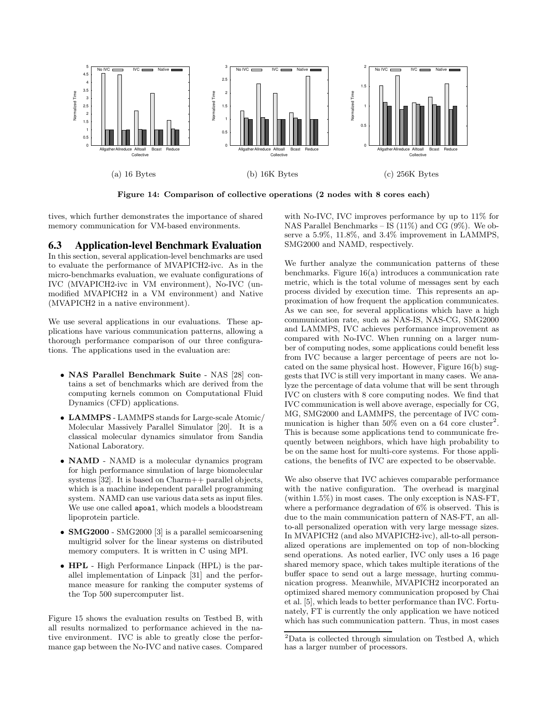

Figure 14: Comparison of collective operations (2 nodes with 8 cores each)

tives, which further demonstrates the importance of shared memory communication for VM-based environments.

### **6.3 Application-level Benchmark Evaluation**

In this section, several application-level benchmarks are used to evaluate the performance of MVAPICH2-ivc. As in the micro-benchmarks evaluation, we evaluate configurations of IVC (MVAPICH2-ivc in VM environment), No-IVC (unmodified MVAPICH2 in a VM environment) and Native (MVAPICH2 in a native environment).

We use several applications in our evaluations. These applications have various communication patterns, allowing a thorough performance comparison of our three configurations. The applications used in the evaluation are:

- NAS Parallel Benchmark Suite NAS [28] contains a set of benchmarks which are derived from the computing kernels common on Computational Fluid Dynamics (CFD) applications.
- LAMMPS LAMMPS stands for Large-scale Atomic/ Molecular Massively Parallel Simulator [20]. It is a classical molecular dynamics simulator from Sandia National Laboratory.
- **NAMD** NAMD is a molecular dynamics program for high performance simulation of large biomolecular systems [32]. It is based on Charm++ parallel objects, which is a machine independent parallel programming system. NAMD can use various data sets as input files. We use one called apoa1, which models a bloodstream lipoprotein particle.
- **SMG2000** SMG2000 [3] is a parallel semicoarsening multigrid solver for the linear systems on distributed memory computers. It is written in C using MPI.
- HPL High Performance Linpack (HPL) is the parallel implementation of Linpack [31] and the performance measure for ranking the computer systems of the Top 500 supercomputer list.

Figure 15 shows the evaluation results on Testbed B, with all results normalized to performance achieved in the native environment. IVC is able to greatly close the performance gap between the No-IVC and native cases. Compared

with No-IVC, IVC improves performance by up to 11% for NAS Parallel Benchmarks – IS (11%) and CG (9%). We observe a 5.9%, 11.8%, and 3.4% improvement in LAMMPS, SMG2000 and NAMD, respectively.

We further analyze the communication patterns of these benchmarks. Figure 16(a) introduces a communication rate metric, which is the total volume of messages sent by each process divided by execution time. This represents an approximation of how frequent the application communicates. As we can see, for several applications which have a high communication rate, such as NAS-IS, NAS-CG, SMG2000 and LAMMPS, IVC achieves performance improvement as compared with No-IVC. When running on a larger number of computing nodes, some applications could benefit less from IVC because a larger percentage of peers are not located on the same physical host. However, Figure 16(b) suggests that IVC is still very important in many cases. We analyze the percentage of data volume that will be sent through IVC on clusters with 8 core computing nodes. We find that IVC communication is well above average, especially for CG, MG, SMG2000 and LAMMPS, the percentage of IVC communication is higher than  $50\%$  even on a  $64$  core cluster<sup>2</sup>. This is because some applications tend to communicate frequently between neighbors, which have high probability to be on the same host for multi-core systems. For those applications, the benefits of IVC are expected to be observable.

We also observe that IVC achieves comparable performance with the native configuration. The overhead is marginal (within 1.5%) in most cases. The only exception is NAS-FT, where a performance degradation of 6% is observed. This is due to the main communication pattern of NAS-FT, an allto-all personalized operation with very large message sizes. In MVAPICH2 (and also MVAPICH2-ivc), all-to-all personalized operations are implemented on top of non-blocking send operations. As noted earlier, IVC only uses a 16 page shared memory space, which takes multiple iterations of the buffer space to send out a large message, hurting communication progress. Meanwhile, MVAPICH2 incorporated an optimized shared memory communication proposed by Chai et al. [5], which leads to better performance than IVC. Fortunately, FT is currently the only application we have noticed which has such communication pattern. Thus, in most cases

 $2$ Data is collected through simulation on Testbed A, which has a larger number of processors.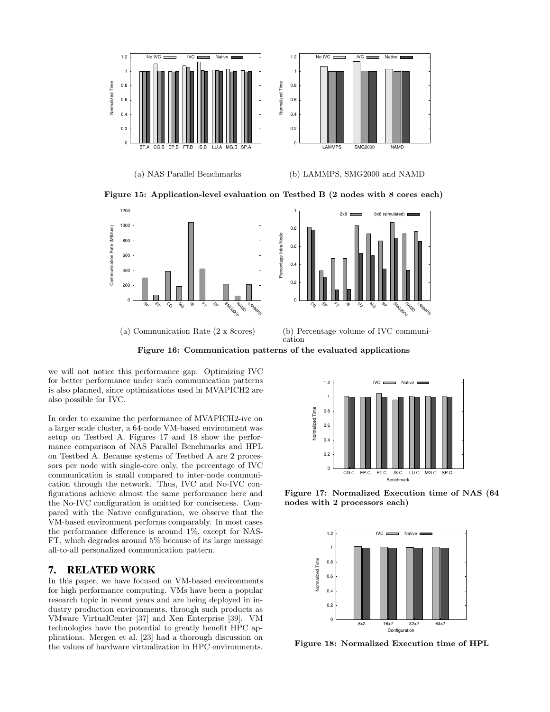

Figure 15: Application-level evaluation on Testbed B (2 nodes with 8 cores each)



Figure 16: Communication patterns of the evaluated applications

we will not notice this performance gap. Optimizing IVC for better performance under such communication patterns is also planned, since optimizations used in MVAPICH2 are also possible for IVC.

In order to examine the performance of MVAPICH2-ivc on a larger scale cluster, a 64-node VM-based environment was setup on Testbed A. Figures 17 and 18 show the performance comparison of NAS Parallel Benchmarks and HPL on Testbed A. Because systems of Testbed A are 2 processors per node with single-core only, the percentage of IVC communication is small compared to inter-node communication through the network. Thus, IVC and No-IVC configurations achieve almost the same performance here and the No-IVC configuration is omitted for conciseness. Compared with the Native configuration, we observe that the VM-based environment performs comparably. In most cases the performance difference is around 1%, except for NAS-FT, which degrades around 5% because of its large message all-to-all personalized communication pattern.

### **7. RELATED WORK**

In this paper, we have focused on VM-based environments for high performance computing. VMs have been a popular research topic in recent years and are being deployed in industry production environments, through such products as VMware VirtualCenter [37] and Xen Enterprise [39]. VM technologies have the potential to greatly benefit HPC applications. Mergen et al. [23] had a thorough discussion on the values of hardware virtualization in HPC environments.



Figure 17: Normalized Execution time of NAS (64 nodes with 2 processors each)



Figure 18: Normalized Execution time of HPL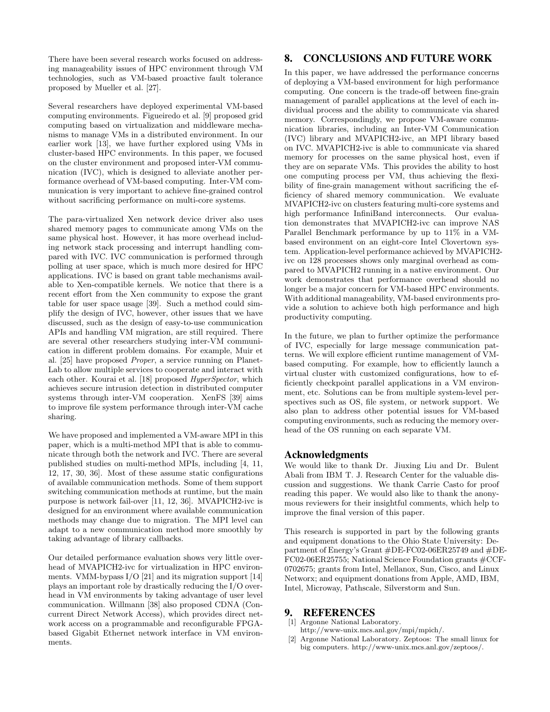There have been several research works focused on addressing manageability issues of HPC environment through VM technologies, such as VM-based proactive fault tolerance proposed by Mueller et al. [27].

Several researchers have deployed experimental VM-based computing environments. Figueiredo et al. [9] proposed grid computing based on virtualization and middleware mechanisms to manage VMs in a distributed environment. In our earlier work [13], we have further explored using VMs in cluster-based HPC environments. In this paper, we focused on the cluster environment and proposed inter-VM communication (IVC), which is designed to alleviate another performance overhead of VM-based computing. Inter-VM communication is very important to achieve fine-grained control without sacrificing performance on multi-core systems.

The para-virtualized Xen network device driver also uses shared memory pages to communicate among VMs on the same physical host. However, it has more overhead including network stack processing and interrupt handling compared with IVC. IVC communication is performed through polling at user space, which is much more desired for HPC applications. IVC is based on grant table mechanisms available to Xen-compatible kernels. We notice that there is a recent effort from the Xen community to expose the grant table for user space usage [39]. Such a method could simplify the design of IVC, however, other issues that we have discussed, such as the design of easy-to-use communication APIs and handling VM migration, are still required. There are several other researchers studying inter-VM communication in different problem domains. For example, Muir et al. [25] have proposed Proper, a service running on Planet-Lab to allow multiple services to cooperate and interact with each other. Kourai et al. [18] proposed HyperSpector, which achieves secure intrusion detection in distributed computer systems through inter-VM cooperation. XenFS [39] aims to improve file system performance through inter-VM cache sharing.

We have proposed and implemented a VM-aware MPI in this paper, which is a multi-method MPI that is able to communicate through both the network and IVC. There are several published studies on multi-method MPIs, including [4, 11, 12, 17, 30, 36]. Most of these assume static configurations of available communication methods. Some of them support switching communication methods at runtime, but the main purpose is network fail-over [11, 12, 36]. MVAPICH2-ivc is designed for an environment where available communication methods may change due to migration. The MPI level can adapt to a new communication method more smoothly by taking advantage of library callbacks.

Our detailed performance evaluation shows very little overhead of MVAPICH2-ivc for virtualization in HPC environments. VMM-bypass I/O [21] and its migration support [14] plays an important role by drastically reducing the I/O overhead in VM environments by taking advantage of user level communication. Willmann [38] also proposed CDNA (Concurrent Direct Network Access), which provides direct network access on a programmable and reconfigurable FPGAbased Gigabit Ethernet network interface in VM environments.

# **8. CONCLUSIONS AND FUTURE WORK**

In this paper, we have addressed the performance concerns of deploying a VM-based environment for high performance computing. One concern is the trade-off between fine-grain management of parallel applications at the level of each individual process and the ability to communicate via shared memory. Correspondingly, we propose VM-aware communication libraries, including an Inter-VM Communication (IVC) library and MVAPICH2-ivc, an MPI library based on IVC. MVAPICH2-ivc is able to communicate via shared memory for processes on the same physical host, even if they are on separate VMs. This provides the ability to host one computing process per VM, thus achieving the flexibility of fine-grain management without sacrificing the efficiency of shared memory communication. We evaluate MVAPICH2-ivc on clusters featuring multi-core systems and high performance InfiniBand interconnects. Our evaluation demonstrates that MVAPICH2-ivc can improve NAS Parallel Benchmark performance by up to 11% in a VMbased environment on an eight-core Intel Clovertown system. Application-level performance achieved by MVAPICH2 ivc on 128 processes shows only marginal overhead as compared to MVAPICH2 running in a native environment. Our work demonstrates that performance overhead should no longer be a major concern for VM-based HPC environments. With additional manageability, VM-based environments provide a solution to achieve both high performance and high productivity computing.

In the future, we plan to further optimize the performance of IVC, especially for large message communication patterns. We will explore efficient runtime management of VMbased computing. For example, how to efficiently launch a virtual cluster with customized configurations, how to efficiently checkpoint parallel applications in a VM environment, etc. Solutions can be from multiple system-level perspectives such as OS, file system, or network support. We also plan to address other potential issues for VM-based computing environments, such as reducing the memory overhead of the OS running on each separate VM.

### **Acknowledgments**

We would like to thank Dr. Jiuxing Liu and Dr. Bulent Abali from IBM T. J. Research Center for the valuable discussion and suggestions. We thank Carrie Casto for proof reading this paper. We would also like to thank the anonymous reviewers for their insightful comments, which help to improve the final version of this paper.

This research is supported in part by the following grants and equipment donations to the Ohio State University: Department of Energy's Grant #DE-FC02-06ER25749 and #DE-FC02-06ER25755; National Science Foundation grants #CCF-0702675; grants from Intel, Mellanox, Sun, Cisco, and Linux Networx; and equipment donations from Apple, AMD, IBM, Intel, Microway, Pathscale, Silverstorm and Sun.

### **9. REFERENCES**

- Argonne National Laboratory. http://www-unix.mcs.anl.gov/mpi/mpich/.
- [2] Argonne National Laboratory. Zeptoos: The small linux for big computers. http://www-unix.mcs.anl.gov/zeptoos/.